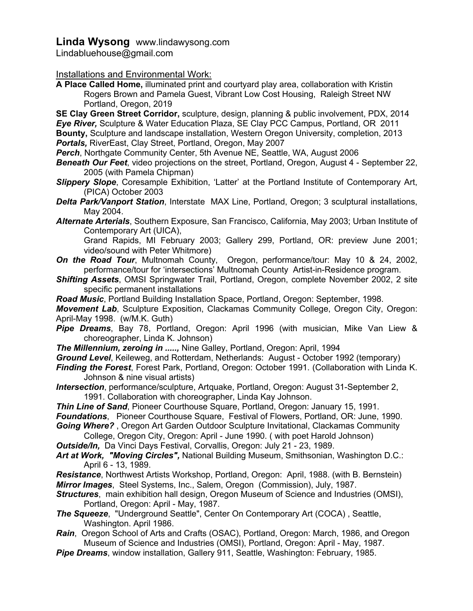# **Linda Wysong** www.lindawysong.com

Lindabluehouse@gmail.com

#### Installations and Environmental Work:

**A Place Called Home,** illuminated print and courtyard play area, collaboration with Kristin Rogers Brown and Pamela Guest, Vibrant Low Cost Housing, Raleigh Street NW Portland, Oregon, 2019

**SE Clay Green Street Corridor,** sculpture, design, planning & public involvement, PDX, 2014 *Eye River,* Sculpture & Water Education Plaza, SE Clay PCC Campus, Portland, OR 2011 **Bounty,** Sculpture and landscape installation, Western Oregon University, completion, 2013 *Portals,* RiverEast, Clay Street, Portland, Oregon, May 2007

- *Perch*, Northgate Community Center, 5th Avenue NE, Seattle, WA, August 2006
- *Beneath Our Feet*, video projections on the street, Portland, Oregon, August 4 September 22, 2005 (with Pamela Chipman)
- *Slippery Slope*, Coresample Exhibition, 'Latter' at the Portland Institute of Contemporary Art, (PICA) October 2003
- *Delta Park/Vanport Station*, Interstate MAX Line, Portland, Oregon; 3 sculptural installations, May 2004.
- *Alternate Arterials*, Southern Exposure, San Francisco, California, May 2003; Urban Institute of Contemporary Art (UICA),

Grand Rapids, MI February 2003; Gallery 299, Portland, OR: preview June 2001; video/sound with Peter Whitmore)

- *On the Road Tour*, Multnomah County, Oregon, performance/tour: May 10 & 24, 2002, performance/tour for 'intersections' Multnomah County Artist-in-Residence program.
- *Shifting Assets*, OMSI Springwater Trail, Portland, Oregon, complete November 2002, 2 site specific permanent installations
- *Road Music*, Portland Building Installation Space, Portland, Oregon: September, 1998.

*Movement Lab*, Sculpture Exposition, Clackamas Community College, Oregon City, Oregon: April-May 1998. (w/M.K. Guth)

- *Pipe Dreams*, Bay 78, Portland, Oregon: April 1996 (with musician, Mike Van Liew & choreographer, Linda K. Johnson)
- *The Millennium, zeroing in .....,* Nine Galley, Portland, Oregon: April, 1994
- *Ground Level*, Keileweg, and Rotterdam, Netherlands: August October 1992 (temporary)
- *Finding the Forest*, Forest Park, Portland, Oregon: October 1991. (Collaboration with Linda K. Johnson & nine visual artists)
- *Intersection*, performance/sculpture, Artquake, Portland, Oregon: August 31-September 2, 1991. Collaboration with choreographer, Linda Kay Johnson.
- *Thin Line of Sand*, Pioneer Courthouse Square, Portland, Oregon: January 15, 1991.
- *Foundations*, Pioneer Courthouse Square, Festival of Flowers, Portland, OR: June, 1990. *Going Where?* , Oregon Art Garden Outdoor Sculpture Invitational, Clackamas Community

College, Oregon City, Oregon: April - June 1990. ( with poet Harold Johnson) *Outside/In,* Da Vinci Days Festival, Corvallis, Oregon: July 21 - 23, 1989.

*Art at Work, "Moving Circles",* National Building Museum, Smithsonian, Washington D.C.:

April 6 - 13, 1989. *Resistance*, Northwest Artists Workshop, Portland, Oregon: April, 1988. (with B. Bernstein) *Mirror Images*, Steel Systems, Inc., Salem, Oregon (Commission), July, 1987.

- *Structures*, main exhibition hall design, Oregon Museum of Science and Industries (OMSI), Portland, Oregon: April - May, 1987.
- *The Squeeze*, "Underground Seattle", Center On Contemporary Art (COCA) , Seattle, Washington. April 1986.
- *Rain*, Oregon School of Arts and Crafts (OSAC), Portland, Oregon: March, 1986, and Oregon Museum of Science and Industries (OMSI), Portland, Oregon: April - May, 1987.
- *Pipe Dreams*, window installation, Gallery 911, Seattle, Washington: February, 1985.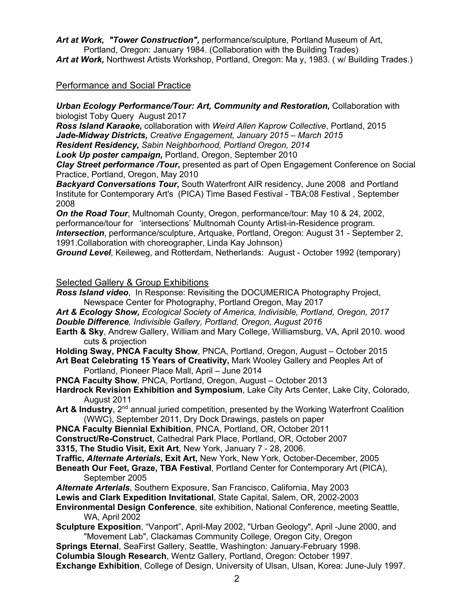*Art at Work, "Tower Construction",* performance/sculpture, Portland Museum of Art, Portland, Oregon: January 1984. (Collaboration with the Building Trades)

Art at Work, Northwest Artists Workshop, Portland, Oregon: Ma y, 1983. (w/ Building Trades.)

### Performance and Social Practice

#### *Urban Ecology Performance/Tour: Art, Community and Restoration,* Collaboration with biologist Toby Query August 2017

*Ross Island Karaoke,* collaboration with *Weird Allen Kaprow Collective*, Portland, 2015 *Jade-Midway Districts, Creative Engagement, January 2015 – March 2015*

*Resident Residency, Sabin Neighborhood, Portland Oregon, 2014*

*Look Up poster campaign,* Portland, Oregon, September 2010

**Clay Street performance /Tour, presented as part of Open Engagement Conference on Social** Practice, Portland, Oregon, May 2010

*Backyard Conversations Tour***,** South Waterfront AIR residency, June 2008 and Portland Institute for Contemporary Art's (PICA) Time Based Festival - TBA:08 Festival , September 2008

*On the Road Tour*, Multnomah County, Oregon, performance/tour: May 10 & 24, 2002, performance/tour for 'intersections' Multnomah County Artist-in-Residence program. *Intersection*, performance/sculpture, Artquake, Portland, Oregon: August 31 - September 2, 1991.Collaboration with choreographer, Linda Kay Johnson)

*Ground Level*, Keileweg, and Rotterdam, Netherlands: August - October 1992 (temporary)

#### Selected Gallery & Group Exhibitions

*Ross Island video*, In Response: Revisiting the DOCUMERICA Photography Project, Newspace Center for Photography, Portland Oregon, May 2017

- *Art & Ecology Show, Ecological Society of America, Indivisible, Portland, Oregon, 2017 Double Difference, Indivisible Gallery, Portland, Oregon, August 2016*
- **Earth & Sky**, Andrew Gallery, William and Mary College, Williamsburg, VA, April 2010. wood cuts & projection

**Holding Sway, PNCA Faculty Show**, PNCA, Portland, Oregon, August – October 2015

**Art Beat Celebrating 15 Years of Creativity,** Mark Wooley Gallery and Peoples Art of Portland, Pioneer Place Mall, April – June 2014

- **PNCA Faculty Show**, PNCA, Portland, Oregon, August October 2013
- **Hardrock Revision Exhibition and Symposium**, Lake City Arts Center, Lake City, Colorado, August 2011
- **Art & Industry**, 2<sup>nd</sup> annual juried competition, presented by the Working Waterfront Coalition (WWC), September 2011, Dry Dock Drawings, pastels on paper
- **PNCA Faculty Biennial Exhibition**, PNCA, Portland, OR, October 2011
- **Construct/Re-Construct**, Cathedral Park Place, Portland, OR, October 2007
- **3315, The Studio Visit, Exit Art**, New York, January 7 28, 2006.
- **Traffic,** *Alternate Arterials***, Exit Art,** New York, New York, October-December, 2005
- **Beneath Our Feet, Graze, TBA Festival**, Portland Center for Contemporary Art (PICA), September 2005
- *Alternate Arterials*, Southern Exposure, San Francisco, California, May 2003
- **Lewis and Clark Expedition Invitational**, State Capital, Salem, OR, 2002-2003

**Environmental Design Conference**, site exhibition, National Conference, meeting Seattle, WA, April 2002

**Sculpture Exposition**, "Vanport", April-May 2002, "Urban Geology", April -June 2000, and "Movement Lab", Clackamas Community College, Oregon City, Oregon

**Springs Eternal**, SeaFirst Gallery, Seattle, Washington: January-February 1998.

**Columbia Slough Research**, Wentz Gallery, Portland, Oregon: October 1997.

**Exchange Exhibition**, College of Design, University of Ulsan, Ulsan, Korea: June-July 1997.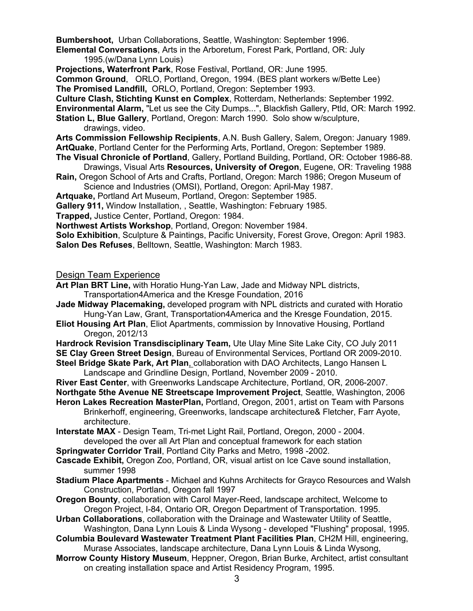**Bumbershoot,** Urban Collaborations, Seattle, Washington: September 1996.

**Elemental Conversations**, Arts in the Arboretum, Forest Park, Portland, OR: July 1995.(w/Dana Lynn Louis)

**Projections, Waterfront Park**, Rose Festival, Portland, OR: June 1995.

**Common Ground**, ORLO, Portland, Oregon, 1994. (BES plant workers w/Bette Lee)

**The Promised Landfill,** ORLO, Portland, Oregon: September 1993.

**Culture Clash, Stichting Kunst en Complex**, Rotterdam, Netherlands: September 1992.

**Environmental Alarm,** "Let us see the City Dumps...", Blackfish Gallery, Ptld, OR: March 1992.

- **Station L, Blue Gallery**, Portland, Oregon: March 1990. Solo show w/sculpture, drawings, video.
- **Arts Commission Fellowship Recipients**, A.N. Bush Gallery, Salem, Oregon: January 1989. **ArtQuake**, Portland Center for the Performing Arts, Portland, Oregon: September 1989.
- **The Visual Chronicle of Portland**, Gallery, Portland Building, Portland, OR: October 1986-88. Drawings, Visual Arts **Resources, University of Oregon**, Eugene, OR: Traveling 1988
- **Rain,** Oregon School of Arts and Crafts, Portland, Oregon: March 1986; Oregon Museum of Science and Industries (OMSI), Portland, Oregon: April-May 1987.

**Artquake,** Portland Art Museum, Portland, Oregon: September 1985.

**Gallery 911,** Window Installation, , Seattle, Washington: February 1985.

**Trapped,** Justice Center, Portland, Oregon: 1984.

**Northwest Artists Workshop**, Portland, Oregon: November 1984.

**Solo Exhibition**, Sculpture & Paintings, Pacific University, Forest Grove, Oregon: April 1983. **Salon Des Refuses**, Belltown, Seattle, Washington: March 1983.

Design Team Experience

- **Art Plan BRT Line,** with Horatio Hung-Yan Law, Jade and Midway NPL districts, Transportation4America and the Kresge Foundation, 2016
- **Jade Midway Placemaking,** developed program with NPL districts and curated with Horatio Hung-Yan Law, Grant, Transportation4America and the Kresge Foundation, 2015.
- **Eliot Housing Art Plan**, Eliot Apartments, commission by Innovative Housing, Portland Oregon, 2012/13

**Hardrock Revision Transdisciplinary Team,** Ute Ulay Mine Site Lake City, CO July 2011 **SE Clay Green Street Design**, Bureau of Environmental Services, Portland OR 2009-2010. **Steel Bridge Skate Park, Art Plan**, collaboration with DAO Architects, Lango Hansen L

Landscape and Grindline Design, Portland, November 2009 - 2010.

**River East Center**, with Greenworks Landscape Architecture, Portland, OR, 2006-2007.

**Northgate 5the Avenue NE Streetscape Improvement Project**, Seattle, Washington, 2006

**Heron Lakes Recreation MasterPlan,** Portland, Oregon, 2001, artist on Team with Parsons Brinkerhoff, engineering, Greenworks, landscape architecture& Fletcher, Farr Ayote, architecture.

**Interstate MAX** - Design Team, Tri-met Light Rail, Portland, Oregon, 2000 - 2004. developed the over all Art Plan and conceptual framework for each station

**Springwater Corridor Trail**, Portland City Parks and Metro, 1998 -2002.

- **Cascade Exhibit,** Oregon Zoo, Portland, OR, visual artist on Ice Cave sound installation, summer 1998
- **Stadium Place Apartments** Michael and Kuhns Architects for Grayco Resources and Walsh Construction, Portland, Oregon fall 1997
- **Oregon Bounty**, collaboration with Carol Mayer-Reed, landscape architect, Welcome to Oregon Project, I-84, Ontario OR, Oregon Department of Transportation. 1995.
- **Urban Collaborations**, collaboration with the Drainage and Wastewater Utility of Seattle, Washington, Dana Lynn Louis & Linda Wysong - developed "Flushing" proposal, 1995.
- **Columbia Boulevard Wastewater Treatment Plant Facilities Plan**, CH2M Hill, engineering, Murase Associates, landscape architecture, Dana Lynn Louis & Linda Wysong,
- **Morrow County History Museum**, Heppner, Oregon, Brian Burke, Architect, artist consultant on creating installation space and Artist Residency Program, 1995.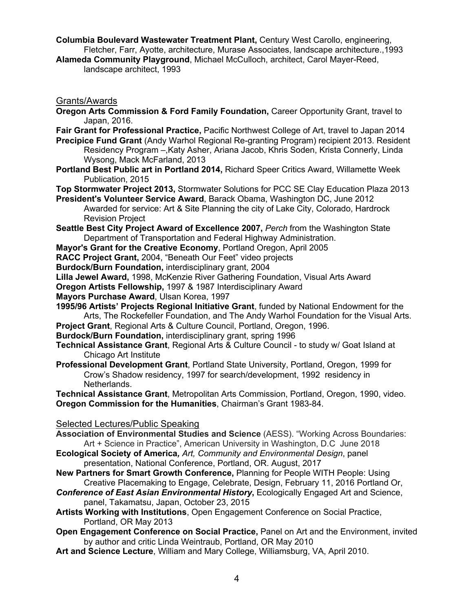**Columbia Boulevard Wastewater Treatment Plant,** Century West Carollo, engineering, Fletcher, Farr, Ayotte, architecture, Murase Associates, landscape architecture.,1993

**Alameda Community Playground**, Michael McCulloch, architect, Carol Mayer-Reed, landscape architect, 1993

#### Grants/Awards

- **Oregon Arts Commission & Ford Family Foundation,** Career Opportunity Grant, travel to Japan, 2016.
- **Fair Grant for Professional Practice,** Pacific Northwest College of Art, travel to Japan 2014
- **Precipice Fund Grant** (Andy Warhol Regional Re-granting Program) recipient 2013. Resident Residency Program –,Katy Asher, Ariana Jacob, Khris Soden, Krista Connerly, Linda Wysong, Mack McFarland, 2013
- **Portland Best Public art in Portland 2014,** Richard Speer Critics Award, Willamette Week Publication, 2015
- **Top Stormwater Project 2013,** Stormwater Solutions for PCC SE Clay Education Plaza 2013
- **President's Volunteer Service Award**, Barack Obama, Washington DC, June 2012 Awarded for service: Art & Site Planning the city of Lake City, Colorado, Hardrock Revision Project
- **Seattle Best City Project Award of Excellence 2007,** *Perch* from the Washington State Department of Transportation and Federal Highway Administration.
- **Mayor's Grant for the Creative Economy**, Portland Oregon, April 2005
- **RACC Project Grant,** 2004, "Beneath Our Feet" video projects
- **Burdock/Burn Foundation,** interdisciplinary grant, 2004
- **Lilla Jewel Award,** 1998, McKenzie River Gathering Foundation, Visual Arts Award
- **Oregon Artists Fellowship,** 1997 & 1987 Interdisciplinary Award
- **Mayors Purchase Award**, Ulsan Korea, 1997
- **1995/96 Artists' Projects Regional Initiative Grant**, funded by National Endowment for the Arts, The Rockefeller Foundation, and The Andy Warhol Foundation for the Visual Arts.
- **Project Grant**, Regional Arts & Culture Council, Portland, Oregon, 1996.
- **Burdock/Burn Foundation,** interdisciplinary grant, spring 1996
- **Technical Assistance Grant**, Regional Arts & Culture Council to study w/ Goat Island at Chicago Art Institute
- **Professional Development Grant**, Portland State University, Portland, Oregon, 1999 for Crow's Shadow residency, 1997 for search/development, 1992 residency in Netherlands.

**Technical Assistance Grant**, Metropolitan Arts Commission, Portland, Oregon, 1990, video. **Oregon Commission for the Humanities**, Chairman's Grant 1983-84.

#### Selected Lectures/Public Speaking

- **Association of Environmental Studies and Science** (AESS). "Working Across Boundaries: Art + Science in Practice", American University in Washington, D.C June 2018
- **Ecological Society of America***, Art, Community and Environmental Design*, panel presentation, National Conference, Portland, OR. August, 2017
- **New Partners for Smart Growth Conference,** Planning for People WITH People: Using Creative Placemaking to Engage, Celebrate, Design, February 11, 2016 Portland Or,
- **Conference of East Asian Environmental History, Ecologically Engaged Art and Science,** panel, Takamatsu, Japan, October 23, 2015
- **Artists Working with Institutions**, Open Engagement Conference on Social Practice, Portland, OR May 2013
- **Open Engagement Conference on Social Practice,** Panel on Art and the Environment, invited by author and critic Linda Weintraub, Portland, OR May 2010
- **Art and Science Lecture**, William and Mary College, Williamsburg, VA, April 2010.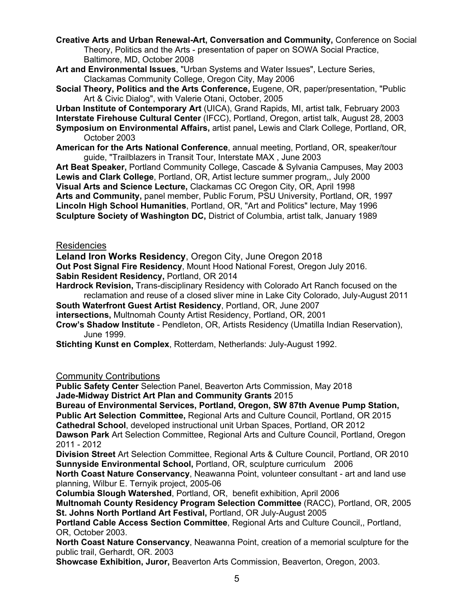**Creative Arts and Urban Renewal-Art, Conversation and Community,** Conference on Social Theory, Politics and the Arts - presentation of paper on SOWA Social Practice, Baltimore, MD, October 2008

- **Art and Environmental Issues**, "Urban Systems and Water Issues", Lecture Series, Clackamas Community College, Oregon City, May 2006
- **Social Theory, Politics and the Arts Conference,** Eugene, OR, paper/presentation, "Public Art & Civic Dialog", with Valerie Otani, October, 2005

**Urban Institute of Contemporary Art** (UICA), Grand Rapids, MI, artist talk, February 2003 **Interstate Firehouse Cultural Center** (IFCC), Portland, Oregon, artist talk, August 28, 2003 **Symposium on Environmental Affairs,** artist panel**,** Lewis and Clark College, Portland, OR, October 2003

**American for the Arts National Conference**, annual meeting, Portland, OR, speaker/tour guide, "Trailblazers in Transit Tour, Interstate MAX , June 2003

**Art Beat Speaker,** Portland Community College, Cascade & Sylvania Campuses, May 2003 **Lewis and Clark College**, Portland, OR, Artist lecture summer program,, July 2000 **Visual Arts and Science Lecture,** Clackamas CC Oregon City, OR, April 1998 **Arts and Community,** panel member, Public Forum, PSU University, Portland, OR, 1997 **Lincoln High School Humanities**, Portland, OR, "Art and Politics" lecture, May 1996 **Sculpture Society of Washington DC,** District of Columbia, artist talk, January 1989

#### Residencies

**Leland Iron Works Residency**, Oregon City, June Oregon 2018

**Out Post Signal Fire Residency**, Mount Hood National Forest, Oregon July 2016. **Sabin Resident Residency,** Portland, OR 2014

**Hardrock Revision,** Trans-disciplinary Residency with Colorado Art Ranch focused on the reclamation and reuse of a closed sliver mine in Lake City Colorado, July-August 2011

**South Waterfront Guest Artist Residency**, Portland, OR, June 2007

**intersections,** Multnomah County Artist Residency, Portland, OR, 2001

**Crow's Shadow Institute** - Pendleton, OR, Artists Residency (Umatilla Indian Reservation), June 1999.

**Stichting Kunst en Complex**, Rotterdam, Netherlands: July-August 1992.

#### Community Contributions

**Public Safety Center** Selection Panel, Beaverton Arts Commission, May 2018 **Jade-Midway District Art Plan and Community Grants** 2015

**Bureau of Environmental Services, Portland, Oregon, SW 87th Avenue Pump Station,** 

**Public Art Selection Committee,** Regional Arts and Culture Council, Portland, OR 2015 **Cathedral School**, developed instructional unit Urban Spaces, Portland, OR 2012

**Dawson Park** Art Selection Committee, Regional Arts and Culture Council, Portland, Oregon 2011 - 2012

**Division Street** Art Selection Committee, Regional Arts & Culture Council, Portland, OR 2010 **Sunnyside Environmental School,** Portland, OR, sculpture curriculum 2006

**North Coast Nature Conservancy**, Neawanna Point, volunteer consultant - art and land use planning, Wilbur E. Ternyik project, 2005-06

**Columbia Slough Watershed**, Portland, OR, benefit exhibition, April 2006

**Multnomah County Residency Program Selection Committee** (RACC), Portland, OR, 2005 **St. Johns North Portland Art Festival,** Portland, OR July-August 2005

**Portland Cable Access Section Committee**, Regional Arts and Culture Council,, Portland, OR, October 2003.

**North Coast Nature Conservancy**, Neawanna Point, creation of a memorial sculpture for the public trail, Gerhardt, OR. 2003

**Showcase Exhibition, Juror,** Beaverton Arts Commission, Beaverton, Oregon, 2003.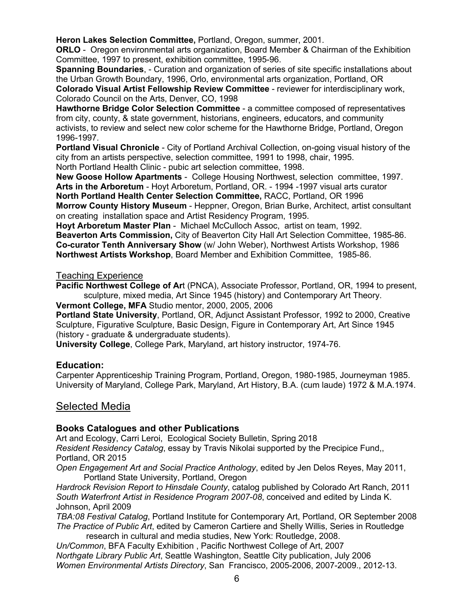**Heron Lakes Selection Committee,** Portland, Oregon, summer, 2001.

**ORLO** - Oregon environmental arts organization, Board Member & Chairman of the Exhibition Committee, 1997 to present, exhibition committee, 1995-96.

**Spanning Boundaries.** - Curation and organization of series of site specific installations about the Urban Growth Boundary, 1996, Orlo, environmental arts organization, Portland, OR **Colorado Visual Artist Fellowship Review Committee** - reviewer for interdisciplinary work, Colorado Council on the Arts, Denver, CO, 1998

**Hawthorne Bridge Color Selection Committee** - a committee composed of representatives from city, county, & state government, historians, engineers, educators, and community activists, to review and select new color scheme for the Hawthorne Bridge, Portland, Oregon 1996-1997.

**Portland Visual Chronicle** - City of Portland Archival Collection, on-going visual history of the city from an artists perspective, selection committee, 1991 to 1998, chair, 1995. North Portland Health Clinic - pubic art selection committee, 1998.

**New Goose Hollow Apartments** - College Housing Northwest, selection committee, 1997. **Arts in the Arboretum** - Hoyt Arboretum, Portland, OR. - 1994 -1997 visual arts curator **North Portland Health Center Selection Committee,** RACC, Portland, OR 1996 **Morrow County History Museum** - Heppner, Oregon, Brian Burke, Architect, artist consultant on creating installation space and Artist Residency Program, 1995.

**Hoyt Arboretum Master Plan** - Michael McCulloch Assoc, artist on team, 1992. **Beaverton Arts Commission,** City of Beaverton City Hall Art Selection Committee, 1985-86. **Co-curator Tenth Anniversary Show** (w/ John Weber), Northwest Artists Workshop, 1986 **Northwest Artists Workshop**, Board Member and Exhibition Committee, 1985-86.

### Teaching Experience

**Pacific Northwest College of Ar**t (PNCA), Associate Professor, Portland, OR, 1994 to present, sculpture, mixed media, Art Since 1945 (history) and Contemporary Art Theory.

**Vermont College, MFA** Studio mentor, 2000, 2005, 2006

**Portland State University**, Portland, OR, Adjunct Assistant Professor, 1992 to 2000, Creative Sculpture, Figurative Sculpture, Basic Design, Figure in Contemporary Art, Art Since 1945 (history - graduate & undergraduate students).

**University College**, College Park, Maryland, art history instructor, 1974-76.

## **Education:**

Carpenter Apprenticeship Training Program, Portland, Oregon, 1980-1985, Journeyman 1985. University of Maryland, College Park, Maryland, Art History, B.A. (cum laude) 1972 & M.A.1974.

# Selected Media

## **Books Catalogues and other Publications**

Art and Ecology, Carri Leroi, Ecological Society Bulletin, Spring 2018 *Resident Residency Catalog*, essay by Travis Nikolai supported by the Precipice Fund,, Portland, OR 2015

*Open Engagement Art and Social Practice Anthology*, edited by Jen Delos Reyes, May 2011, Portland State University, Portland, Oregon

*Hardrock Revision Report to Hinsdale County*, catalog published by Colorado Art Ranch, 2011 *South Waterfront Artist in Residence Program 2007-08*, conceived and edited by Linda K. Johnson, April 2009

*TBA:08 Festival Catalog*, Portland Institute for Contemporary Art, Portland, OR September 2008 *The Practice of Public Art*, edited by Cameron Cartiere and Shelly Willis, Series in Routledge research in cultural and media studies, New York: Routledge, 2008.

*Un/Common*, BFA Faculty Exhibition , Pacific Northwest College of Art, 2007 *Northgate Library Public Art*, Seattle Washington, Seattle City publication, July 2006 *Women Environmental Artists Directory*, San Francisco, 2005-2006, 2007-2009., 2012-13.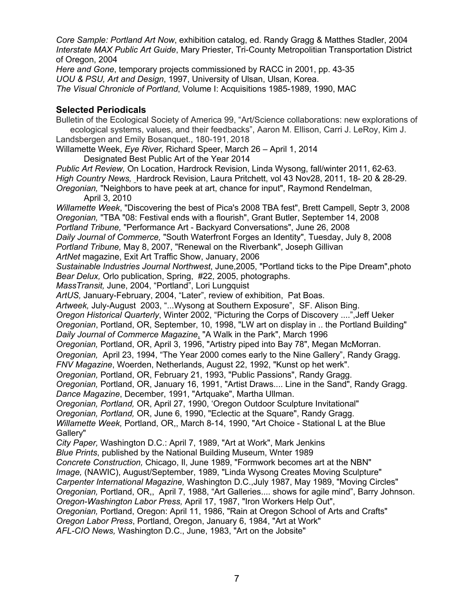*Core Sample: Portland Art Now*, exhibition catalog, ed. Randy Gragg & Matthes Stadler, 2004 *Interstate MAX Public Art Guide*, Mary Priester, Tri-County Metropolitian Transportation District of Oregon, 2004

*Here and Gone*, temporary projects commissioned by RACC in 2001, pp. 43-35 *UOU & PSU, Art and Design*, 1997, University of Ulsan, Ulsan, Korea. *The Visual Chronicle of Portland*, Volume I: Acquisitions 1985-1989, 1990, MAC

## **Selected Periodicals**

Bulletin of the Ecological Society of America 99, "Art/Science collaborations: new explorations of ecological systems, values, and their feedbacks", Aaron M. Ellison, Carri J. LeRoy, Kim J. Landsbergen and Emily Bosanquet., 180-191, 2018 Willamette Week, *Eye River,* Richard Speer, March 26 – April 1, 2014 Designated Best Public Art of the Year 2014 *Public Art Review,* On Location, Hardrock Revision, Linda Wysong, fall/winter 2011, 62-63. *High Country News,* Hardrock Revision, Laura Pritchett, vol 43 Nov28, 2011, 18- 20 & 28-29. *Oregonian,* "Neighbors to have peek at art, chance for input", Raymond Rendelman, April 3, 2010 *Willamette Week*, "Discovering the best of Pica's 2008 TBA fest", Brett Campell, Septr 3, 2008 *Oregonian,* "TBA "08: Festival ends with a flourish", Grant Butler, September 14, 2008 *Portland Tribune,* "Performance Art - Backyard Conversations", June 26, 2008 *Daily Journal of Commerce,* "South Waterfront Forges an Identity", Tuesday, July 8, 2008 *Portland Tribune,* May 8, 2007, "Renewal on the Riverbank", Joseph Gillivan *ArtNet* magazine, Exit Art Traffic Show, January, 2006 *Sustainable Industries Journal Northwest*, June,2005, "Portland ticks to the Pipe Dream",photo *Bear Delux,* Orlo publication, Spring, #22, 2005, photographs. *MassTransit,* June, 2004, "Portland", Lori Lungquist *ArtUS,* January-February, 2004, "Later", review of exhibition, Pat Boas. *Artweek,* July-August 2003, "...Wysong at Southern Exposure", SF. Alison Bing. *Oregon Historical Quarterly*, Winter 2002, "Picturing the Corps of Discovery ....",Jeff Ueker *Oregonian*, Portland, OR, September, 10, 1998, "LW art on display in .. the Portland Building" *Daily Journal of Commerce Magazine*, "A Walk in the Park", March 1996 *Oregonian,* Portland, OR, April 3, 1996, "Artistry piped into Bay 78", Megan McMorran. *Oregonian,* April 23, 1994, "The Year 2000 comes early to the Nine Gallery", Randy Gragg. *FNV Magazine*, Woerden, Netherlands, August 22, 1992, "Kunst op het werk". *Oregonian,* Portland, OR, February 21, 1993, "Public Passions", Randy Gragg. *Oregonian,* Portland, OR, January 16, 1991, "Artist Draws.... Line in the Sand", Randy Gragg. *Dance Magazine*, December, 1991, "Artquake", Martha Ullman. *Oregonian, Portland,* OR, April 27, 1990, 'Oregon Outdoor Sculpture Invitational" *Oregonian, Portland,* OR, June 6, 1990, "Eclectic at the Square", Randy Gragg. *Willamette Week,* Portland, OR,, March 8-14, 1990, "Art Choice - Stational L at the Blue Gallery" *City Paper,* Washington D.C.: April 7, 1989, "Art at Work", Mark Jenkins *Blue Prints*, published by the National Building Museum, Wnter 1989 *Concrete Construction,* Chicago, Il, June 1989, "Formwork becomes art at the NBN" *Image,* (NAWIC), August/September, 1989, "Linda Wysong Creates Moving Sculpture" *Carpenter International Magazine,* Washington D.C.,July 1987, May 1989, "Moving Circles" *Oregonian,* Portland, OR,, April 7, 1988, "Art Galleries.... shows for agile mind", Barry Johnson. *Oregon-Washington Labor Press,* April 17, 1987, "Iron Workers Help Out", *Oregonian,* Portland, Oregon: April 11, 1986, "Rain at Oregon School of Arts and Crafts" *Oregon Labor Press*, Portland, Oregon, January 6, 1984, "Art at Work" *AFL-CIO News,* Washington D.C., June, 1983, "Art on the Jobsite"